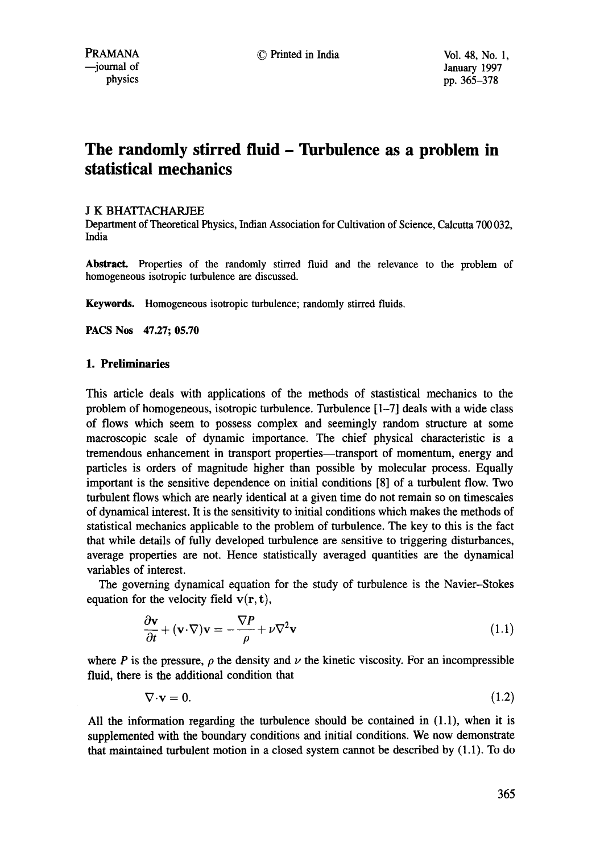# **The randomly stirred fluid - Turbulence as a problem in statistical mechanics**

## J K BHATTACHARJEE

Department of Theoretical Physics, Indian Association for Cultivation of Science, Calcutta 700 032, India

Abstract. Properties of the randomly stirred fluid and the relevance to the problem of homogeneous isotropic turbulence are discussed.

Keywords. Homogeneous isotropic turbulence; randomly stirred fluids.

**PACS Nos 47.27; 05.70** 

## **1. Preliminaries**

This article deals with applications of the methods of stastistical mechanics to the problem of homogeneous, isotropic turbulence. Turbulence [1-7] deals with a wide class of flows which seem to possess complex and seemingly random structure at some macroscopic scale of dynamic importance. The chief physical characteristic is a tremendous enhancement in transport properties--transport of momentum, energy and particles is orders of magnitude higher than possible by molecular process. Equally important is the sensitive dependence on initial conditions [8] of a turbulent flow. Two turbulent flows which are nearly identical at a given time do not remain so on timescales of dynamical interest. It is the sensitivity to initial conditions which makes the methods of statistical mechanics applicable to the problem of turbulence. The key to this is the fact that while details of fully developed turbulence are sensitive to triggering disturbances, average properties are not. Hence statistically averaged quantities are the dynamical variables of interest.

The governing dynamical equation for the study of turbulence is the Navier-Stokes equation for the velocity field  $v(r, t)$ ,

$$
\frac{\partial \mathbf{v}}{\partial t} + (\mathbf{v} \cdot \nabla) \mathbf{v} = -\frac{\nabla P}{\rho} + \nu \nabla^2 \mathbf{v}
$$
\n(1.1)

where P is the pressure,  $\rho$  the density and  $\nu$  the kinetic viscosity. For an incompressible fluid, there is the additional condition that

$$
\nabla \cdot \mathbf{v} = 0. \tag{1.2}
$$

All the information regarding the turbulence should be contained in (1.1), when it is supplemented with the boundary conditions and initial conditions. We now demonstrate that maintained turbulent motion in a closed system cannot be described by (1.1). To do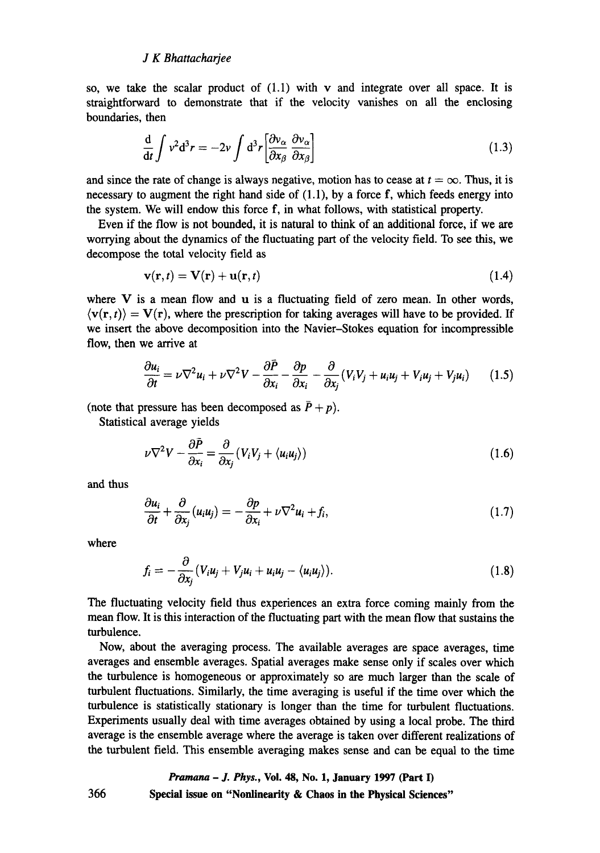so, we take the scalar product of (1.1) with v and integrate over all space. It is straightforward to demonstrate that if the velocity vanishes on all the enclosing boundaries, then

$$
\frac{\mathrm{d}}{\mathrm{d}t} \int v^2 \mathrm{d}^3 r = -2v \int \mathrm{d}^3 r \left[ \frac{\partial v_\alpha}{\partial x_\beta} \frac{\partial v_\alpha}{\partial x_\beta} \right] \tag{1.3}
$$

and since the rate of change is always negative, motion has to cease at  $t = \infty$ . Thus, it is necessary to augment the right hand side of  $(1.1)$ , by a force f, which feeds energy into the system. We will endow this force f, in what follows, with statistical property.

Even if the flow is not bounded, it is natural to think of an additional force, if we are worrying about the dynamics of the fluctuating part of the velocity field. To see this, we decompose the total velocity field as

$$
\mathbf{v}(\mathbf{r},t) = \mathbf{V}(\mathbf{r}) + \mathbf{u}(\mathbf{r},t) \tag{1.4}
$$

where  $V$  is a mean flow and  $u$  is a fluctuating field of zero mean. In other words,  $\langle \mathbf{v}(\mathbf{r}, t) \rangle = \mathbf{V}(\mathbf{r})$ , where the prescription for taking averages will have to be provided. If we insert the above decomposition into the Navier-Stokes equation for incompressible flow, then we arrive at

$$
\frac{\partial u_i}{\partial t} = \nu \nabla^2 u_i + \nu \nabla^2 V - \frac{\partial P}{\partial x_i} - \frac{\partial p}{\partial x_i} - \frac{\partial}{\partial x_j} (V_i V_j + u_i u_j + V_i u_j + V_j u_i) \qquad (1.5)
$$

(note that pressure has been decomposed as  $\bar{P} + p$ ).

Statistical average yields

$$
\nu \nabla^2 V - \frac{\partial \bar{P}}{\partial x_i} = \frac{\partial}{\partial x_j} (V_i V_j + \langle u_i u_j \rangle)
$$
 (1.6)

and thus

$$
\frac{\partial u_i}{\partial t} + \frac{\partial}{\partial x_j} (u_i u_j) = -\frac{\partial p}{\partial x_i} + \nu \nabla^2 u_i + f_i,
$$
\n(1.7)

where

366

$$
f_i = -\frac{\partial}{\partial x_j} (V_i u_j + V_j u_i + u_i u_j - \langle u_i u_j \rangle).
$$
 (1.8)

The fluctuating velocity field thus experiences an extra force coming mainly from the mean flow. It is this interaction of the fluctuating part with the mean flow that sustains the turbulence.

Now, about the averaging process. The available averages are space averages, time averages and ensemble averages. Spatial averages make sense only if scales over which the turbulence is homogeneous or approximately so are much larger than the scale of turbulent fluctuations. Similarly, the time averaging is useful if the time over which the turbulence is statistically stationary is longer than the time for turbulent fluctuations. Experiments usually deal with time averages obtained by using a local probe. The third average is the ensemble average where the average is taken over different realizations of the turbulent field. This ensemble averaging makes sense and can be equal to the time

# *Pramana - J. Phys.,* **Vol. 48, No. 1, January 1997 (Part I) Special issue on "Nonlinearity & Chaos in the Physical Sciences"**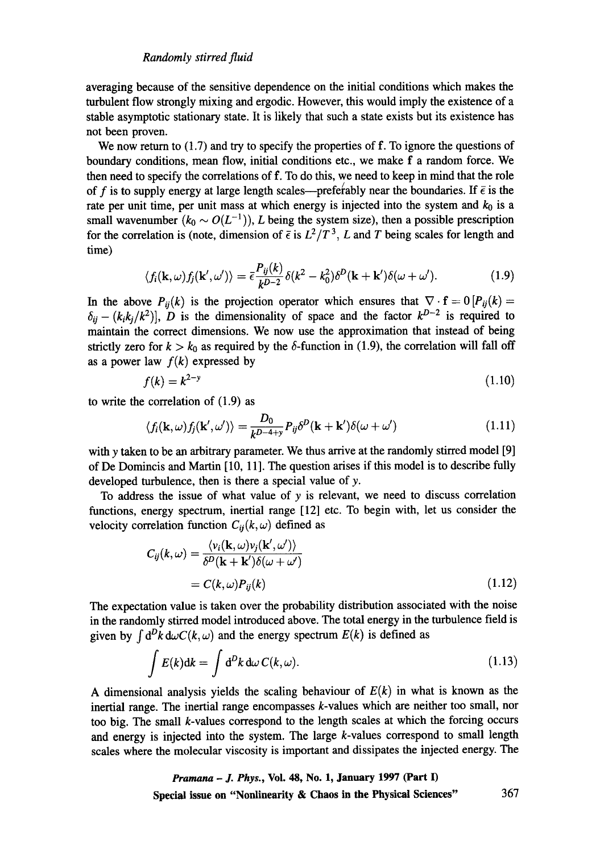#### *Randomly stirred fluid*

averaging because of the sensitive dependence on the initial conditions which makes the turbulent flow strongly mixing and ergodic. However, this would imply the existence of a stable asymptotic stationary state. It is likely that such a state exists but its existence has not been proven.

We now return to  $(1.7)$  and try to specify the properties of f. To ignore the questions of boundary conditions, mean flow, initial conditions etc., we make f a random force. We then need to specify the correlations of f. To do this, we need to keep in mind that the role of f is to supply energy at large length scales—preferably near the boundaries. If  $\bar{\epsilon}$  is the rate per unit time, per unit mass at which energy is injected into the system and  $k_0$  is a small wavenumber  $(k_0 \sim O(L^{-1}))$ , L being the system size), then a possible prescription for the correlation is (note, dimension of  $\bar{\epsilon}$  is  $L^2/T^3$ , L and T being scales for length and time)

$$
\langle f_i(\mathbf{k},\omega)f_j(\mathbf{k}',\omega')\rangle = \bar{\epsilon}\frac{P_{ij}(k)}{k^{D-2}}\delta(k^2-k_0^2)\delta^D(\mathbf{k}+\mathbf{k}')\delta(\omega+\omega'). \tag{1.9}
$$

In the above  $P_{ij}(k)$  is the projection operator which ensures that  $\nabla \cdot \mathbf{f}=0$   $[P_{ij}(k)=$  $\delta_{ij} - (k_i k_j / k^2)$ , *D* is the dimensionality of space and the factor  $k^{D-2}$  is required to maintain the correct dimensions. We now use the approximation that instead of being strictly zero for  $k > k_0$  as required by the  $\delta$ -function in (1.9), the correlation will fall off as a power law  $f(k)$  expressed by

$$
f(k) = k^{2-y} \tag{1.10}
$$

to write the correlation of (1.9) as

$$
\langle f_i(\mathbf{k}, \omega) f_j(\mathbf{k}', \omega') \rangle = \frac{D_0}{k^{D-4+\gamma}} P_{ij} \delta^D(\mathbf{k} + \mathbf{k}') \delta(\omega + \omega')
$$
(1.11)

with y taken to be an arbitrary parameter. We thus arrive at the randomly stirred model [9] of De Domincis and Martin [10, 11]. The question arises if this model is to describe fully developed turbulence, then is there a special value of y.

To address the issue of what value of y is relevant, we need to discuss correlation functions, energy spectrum, inertial range [12] etc. To begin with, let us consider the velocity correlation function  $C_{ij}(k,\omega)$  defined as

$$
C_{ij}(k,\omega) = \frac{\langle v_i(\mathbf{k},\omega)v_j(\mathbf{k}',\omega')\rangle}{\delta^D(\mathbf{k}+\mathbf{k}')\delta(\omega+\omega')}
$$
  
=  $C(k,\omega)P_{ij}(k)$  (1.12)

The expectation value is taken over the probability distribution associated with the noise in the randomly stirred model introduced above. The total energy in the turbulence field is given by  $\int d^D k d\omega C(k, \omega)$  and the energy spectrum  $E(k)$  is defined as

$$
\int E(k)dk = \int d^D k \, d\omega \, C(k,\omega). \tag{1.13}
$$

A dimensional analysis yields the scaling behaviour of  $E(k)$  in what is known as the inertial range. The inertial range encompasses k-values which are neither too small, nor too big. The small k-values correspond to the length scales at which the forcing occurs and energy is injected into the system. The large  $k$ -values correspond to small length scales where the molecular viscosity is important and dissipates the injected energy. The

> *Pramana - J. Phys.,* **Vol. 48, No. 1, January 1997 (Part I) Special issue on "Nonlinearity & Chaos in the Physical Sciences"** 367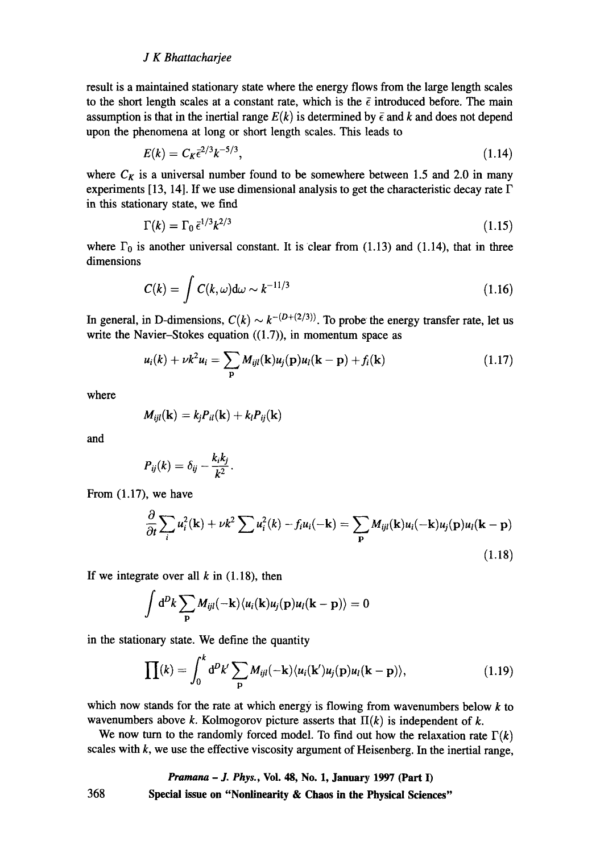result is a maintained stationary state where the energy flows from the large length scales to the short length scales at a constant rate, which is the  $\bar{\epsilon}$  introduced before. The main assumption is that in the inertial range  $E(k)$  is determined by  $\bar{\epsilon}$  and k and does not depend upon the phenomena at long or short length scales. This leads to

$$
E(k) = C_K \bar{\epsilon}^{2/3} k^{-5/3},\tag{1.14}
$$

where  $C_K$  is a universal number found to be somewhere between 1.5 and 2.0 in many experiments [13, 14]. If we use dimensional analysis to get the characteristic decay rate  $\Gamma$ in this stationary state, we find

$$
\Gamma(k) = \Gamma_0 \, \bar{\epsilon}^{1/3} k^{2/3} \tag{1.15}
$$

where  $\Gamma_0$  is another universal constant. It is clear from (1.13) and (1.14), that in three dimensions

$$
C(k) = \int C(k,\omega) d\omega \sim k^{-11/3}
$$
 (1.16)

In general, in D-dimensions,  $C(k) \sim k^{-(D+(2/3))}$ . To probe the energy transfer rate, let us write the Navier-Stokes equation  $((1.7))$ , in momentum space as

$$
u_i(k) + \nu k^2 u_i = \sum_{\mathbf{p}} M_{ijl}(\mathbf{k}) u_j(\mathbf{p}) u_l(\mathbf{k} - \mathbf{p}) + f_i(\mathbf{k})
$$
\n(1.17)

where

$$
M_{ijl}(\mathbf{k})=k_jP_{il}(\mathbf{k})+k_lP_{ij}(\mathbf{k})
$$

*and* 

368

$$
P_{ij}(k)=\delta_{ij}-\frac{k_ik_j}{k^2}.
$$

From (1.17), we have

 $\sim$ 

$$
\frac{\partial}{\partial t} \sum_{i} u_i^2(\mathbf{k}) + \nu k^2 \sum_{i} u_i^2(k) - f_i u_i(-\mathbf{k}) = \sum_{\mathbf{p}} M_{ijl}(\mathbf{k}) u_i(-\mathbf{k}) u_j(\mathbf{p}) u_l(\mathbf{k} - \mathbf{p})
$$
\n(1.18)

If we integrate over all  $k$  in (1.18), then

$$
\int d^D k \sum_{\mathbf{p}} M_{ijl}(-\mathbf{k}) \langle u_i(\mathbf{k}) u_j(\mathbf{p}) u_l(\mathbf{k}-\mathbf{p}) \rangle = 0
$$

in the stationary state. We define the quantity

$$
\prod(k) = \int_0^k d^D k' \sum_{\mathbf{p}} M_{ijl}(-\mathbf{k}) \langle u_i(\mathbf{k}') u_j(\mathbf{p}) u_l(\mathbf{k} - \mathbf{p}) \rangle, \qquad (1.19)
$$

which now stands for the rate at which energy is flowing from wavenumbers below  $k$  to wavenumbers above k. Kolmogorov picture asserts that  $\Pi(k)$  is independent of k.

We now turn to the randomly forced model. To find out how the relaxation rate  $\Gamma(k)$ scales with  $k$ , we use the effective viscosity argument of Heisenberg. In the inertial range,

*Pramana - J. Phys.,* **Vol. 48, No. 1, January 1997 (Part I)**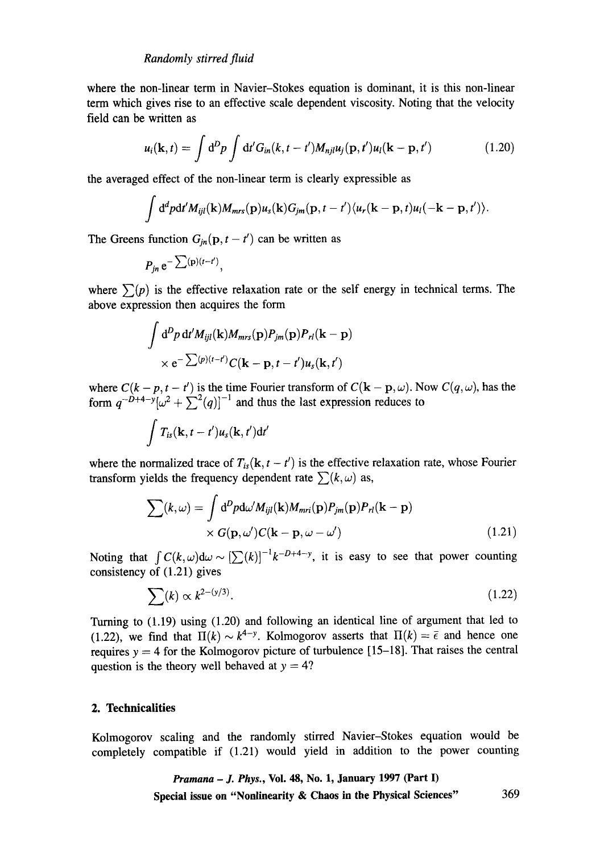where the non-linear term in Navier-Stokes equation is dominant, it is this non-linear term which gives rise to an effective scale dependent viscosity. Noting that the velocity field can be written as

$$
u_i(\mathbf{k},t) = \int d^D p \int dt' G_{in}(k,t-t') M_{nj} u_j(\mathbf{p},t') u_l(\mathbf{k}-\mathbf{p},t')
$$
(1.20)

the averaged effect of the non-linear term is clearly expressible as

$$
\int d^dpdt' M_{ijl}(\mathbf{k}) M_{mrs}(\mathbf{p}) u_s(\mathbf{k}) G_{jm}(\mathbf{p},t-t') \langle u_r(\mathbf{k}-\mathbf{p},t) u_l(-\mathbf{k}-\mathbf{p},t') \rangle.
$$

The Greens function  $G_{in}(\mathbf{p}, t - t')$  can be written as

$$
P_{jn} e^{-\sum (\mathbf{p})(t-t^{\prime})},
$$

where  $\sum(p)$  is the effective relaxation rate or the self energy in technical terms. The above expression then acquires the form

$$
\int d^D p \, \mathrm{d}t' M_{ijl}(\mathbf{k}) M_{mrs}(\mathbf{p}) P_{jm}(\mathbf{p}) P_{rl}(\mathbf{k} - \mathbf{p})
$$
  
×  $e^{-\sum (p)(t-t')} C(\mathbf{k} - \mathbf{p}, t - t') u_s(\mathbf{k}, t')$ 

where  $C(k - p, t - t')$  is the time Fourier transform of  $C(k - p, \omega)$ . Now  $C(q, \omega)$ , has the form  $q^{-D+4-y}[\omega^2 + \sum^2(q)]^{-1}$  and thus the last expression reduces to

$$
\int T_{is}(\mathbf{k},t-t')u_s(\mathbf{k},t')\mathrm{d}t'
$$

where the normalized trace of  $T_{is}(\mathbf{k}, t - t')$  is the effective relaxation rate, whose Fourier transform yields the frequency dependent rate  $\sum (k, \omega)$  as,

$$
\sum(k,\omega) = \int d^D p d\omega' M_{ijl}(\mathbf{k}) M_{mrl}(\mathbf{p}) P_{jm}(\mathbf{p}) P_{rl}(\mathbf{k} - \mathbf{p})
$$
  
×  $G(\mathbf{p}, \omega') C(\mathbf{k} - \mathbf{p}, \omega - \omega')$  (1.21)

Noting that  $\int C(k,\omega) d\omega \sim \left[\sum(k)\right]^{-1} k^{-D+4-y}$ , it is easy to see that power counting consistency of (1.21) gives

$$
\sum(k) \propto k^{2-(y/3)}.\tag{1.22}
$$

Turning to (1.19) using (1.20) and following an identical line of argument that led to (1.22), we find that  $\Pi(k) \sim k^{4-y}$ . Kolmogorov asserts that  $\Pi(k) = \bar{\epsilon}$  and hence one requires  $y = 4$  for the Kolmogorov picture of turbulence [15-18]. That raises the central question is the theory well behaved at  $y = 4$ ?

## **2. Technicalities**

Kolmogorov scaling and the randomly stirred Navier-Stokes equation would be completely compatible if (1.21) would yield in addition to the power counting

*Pramana - J. Phys.,* **Vol. 48, No. 1, January 1997 (Part I) Special issue on "Nonlinearity & Chaos in the Physical Sciences" 369**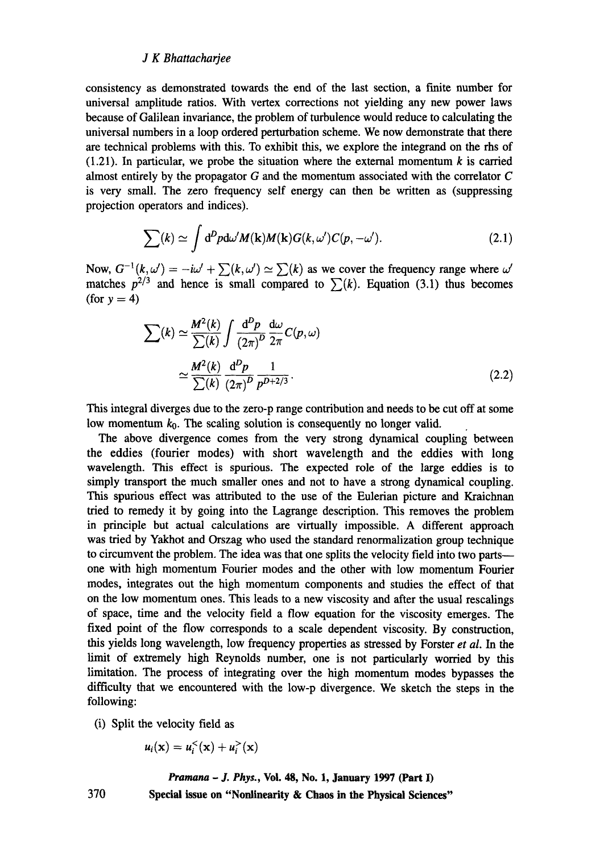consistency as demonstrated towards the end of the last section, a finite number for universal amplitude ratios. With vertex corrections not yielding any new power laws because of Galilean invariance, the problem of turbulence would reduce to calculating the universal numbers in a loop ordered perturbation scheme. We now demonstrate that there are technical problems with this. To exhibit this, we explore the integrand on the rhs of  $(1.21)$ . In particular, we probe the situation where the external momentum k is carried almost entirely by the propagator G and the momentum associated with the correlator C is very small. The zero frequency self energy can then be written as (suppressing projection operators and indices).

$$
\sum(k) \simeq \int d^{D}p d\omega' M(\mathbf{k}) M(\mathbf{k}) G(k,\omega') C(p,-\omega'). \qquad (2.1)
$$

Now,  $G^{-1}(k,\omega) = -i\omega' + \sum (k,\omega') \simeq \sum (k)$  as we cover the frequency range where  $\omega'$ matches  $p^{2/3}$  and hence is small compared to  $\sum(k)$ . Equation (3.1) thus becomes (for  $y = 4$ )

$$
\sum(k) \simeq \frac{M^2(k)}{\sum(k)} \int \frac{\mathrm{d}^D p}{(2\pi)^D} \frac{\mathrm{d}\omega}{2\pi} C(p,\omega)
$$

$$
\simeq \frac{M^2(k)}{\sum(k)} \frac{\mathrm{d}^D p}{(2\pi)^D} \frac{1}{p^{D+2/3}}.
$$
(2.2)

This integral diverges due to the zero-p range contribution and needs to be cut off at some low momentum  $k_0$ . The scaling solution is consequently no longer valid.

The above divergence comes from the very strong dynamical coupling between the eddies (fourier modes) with short wavelength and the eddies with long wavelength. This effect is spurious. The expected role of the large eddies is to simply transport the much smaller ones and not to have a strong dynamical coupling. This spurious effect was attributed to the use of the Eulerian picture and Kraichnan tried to remedy it by going into the Lagrange description. This removes the problem in principle but actual calculations are virtually impossible. A different approach was tried by Yakhot and Orszag who used the standard renormalization group technique to circumvent the problem. The idea was that one splits the velocity field into two parts-one with high momentum Fourier modes and the other with low momentum Fourier modes, integrates out the high momentum components and studies the effect of that on the low momentum ones. This leads to a new viscosity and after the usual rescalings of space, time and the velocity field a flow equation for the viscosity emerges. The fixed point of the flow corresponds to a scale dependent viscosity. By construction, this yields long wavelength, low frequency properties as stressed by Forster *et al. In the*  limit of extremely high Reynolds number, one is not particularly worried by this limitation. The process of integrating over the high momentum modes bypasses the difficulty that we encountered with the low-p divergence. We sketch the steps in the following:

(i) Split the velocity field as

370

$$
u_i(\mathbf{x}) = u_i^<(\mathbf{x}) + u_i^>(\mathbf{x})
$$

*Pramana - J. Phys.,* **Vol. 48, No. 1, January 1997 (Part I)**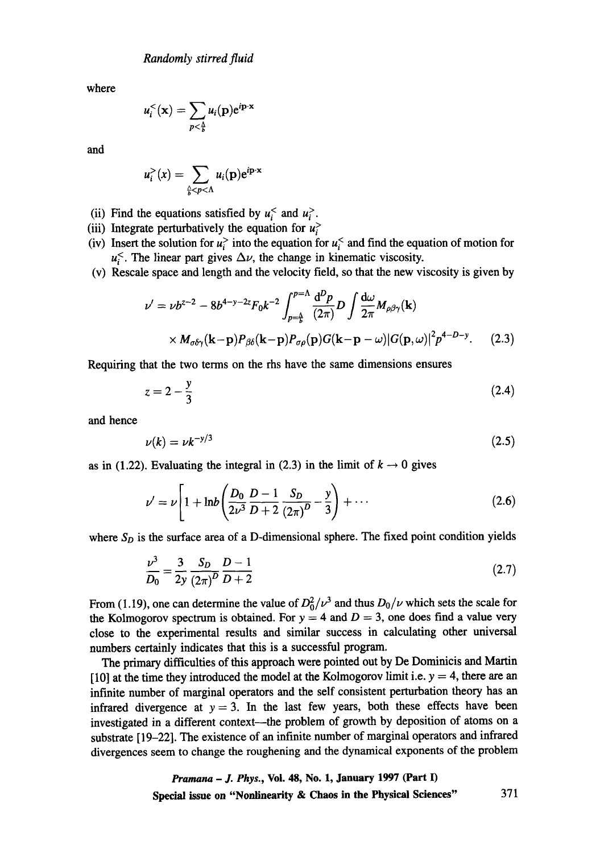where

$$
u_i^<(\mathbf{x}) = \sum_{p < \frac{\Lambda}{b}} u_i(\mathbf{p}) e^{i\mathbf{p}\cdot\mathbf{x}}
$$

and

$$
u_i^>(x)=\sum_{\substack{\wedge\\ \mathbf{b}}
$$

- (ii) Find the equations satisfied by  $u_i^<$  and  $u_i^>$ .
- (iii) Integrate perturbatively the equation for  $u_i^>$
- (iv) Insert the solution for  $u_i^>$  into the equation for  $u_i^<$  and find the equation of motion for  $u_i^{\lt}$ . The linear part gives  $\Delta \nu$ , the change in kinematic viscosity.
- (v) Rescale space and length and the velocity field, so that the new viscosity is given by

$$
\nu' = \nu b^{z-2} - 8b^{4-y-2z} F_0 k^{-2} \int_{p=\frac{A}{b}}^{p=\Lambda} \frac{d^D p}{(2\pi)} D \int \frac{d\omega}{2\pi} M_{\rho\beta\gamma}(\mathbf{k})
$$
  
 
$$
\times M_{\sigma\delta\gamma}(\mathbf{k}-\mathbf{p}) P_{\beta\delta}(\mathbf{k}-\mathbf{p}) P_{\sigma\rho}(\mathbf{p}) G(\mathbf{k}-\mathbf{p}-\omega) |G(\mathbf{p},\omega)|^2 p^{4-D-y}.
$$
 (2.3)

Requiring that the two terms on the rhs have the same dimensions ensures

$$
z = 2 - \frac{y}{3} \tag{2.4}
$$

and hence

$$
\nu(k) = \nu k^{-y/3} \tag{2.5}
$$

as in (1.22). Evaluating the integral in (2.3) in the limit of  $k \rightarrow 0$  gives

$$
\nu' = \nu \left[ 1 + \ln b \left( \frac{D_0}{2\nu^3} \frac{D-1}{D+2} \frac{S_D}{(2\pi)^D} - \frac{y}{3} \right) + \cdots \right] \tag{2.6}
$$

where  $S_D$  is the surface area of a D-dimensional sphere. The fixed point condition yields

$$
\frac{\nu^3}{D_0} = \frac{3}{2y} \frac{S_D}{(2\pi)^D} \frac{D-1}{D+2}
$$
 (2.7)

From (1.19), one can determine the value of  $D_0^2/\nu^3$  and thus  $D_0/\nu$  which sets the scale for the Kolmogorov spectrum is obtained. For  $y = 4$  and  $D = 3$ , one does find a value very close to the experimental results and similar success in calculating other universal numbers certainly indicates that this is a successful program.

The primary difficulties of this approach were pointed out by De Dominicis and Martin [10] at the time they introduced the model at the Kolmogorov limit i.e.  $y = 4$ , there are an infinite number of marginal operators and the self consistent perturbation theory has an infrared divergence at  $y = 3$ . In the last few years, both these effects have been investigated in a different context--the problem of growth by deposition of atoms on a substrate [19-22]. The existence of an infinite number of marginal operators and infrared divergences seem to change the roughening and the dynamical exponents of the problem

*Pramana - J. Phys.,* **Voi. 48, No. 1, January 1997 (Part I) Special issue on "Nonlinearity & Chaos in the Physical Sciences"** 371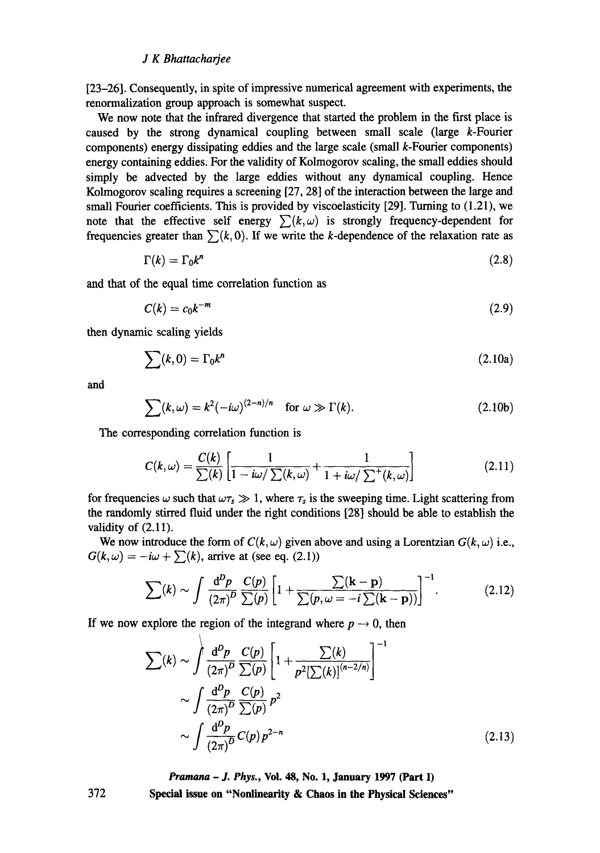[23-26]. Consequently, in spite of impressive numerical agreement with experiments, the renormalization group approach is somewhat suspect.

We now note that the infrared divergence that started the problem in the first place is caused by the strong dynamical coupling between small scale (large k-Fourier components) energy dissipating eddies and the large scale (small  $k$ -Fourier components) energy containing eddies. For the validity of Kolmogorov scaling, the small eddies should simply be advected by the large eddies without any dynamical coupling. Hence Kolmogorov scaling requires a screening [27, 28] of the interaction between the large and small Fourier coefficients. This is provided by viscoelasticity [29]. Turning to (1.21), we note that the effective self energy  $\sum (k,\omega)$  is strongly frequency-dependent for frequencies greater than  $\sum (k, 0)$ . If we write the k-dependence of the relaxation rate as

$$
\Gamma(k) = \Gamma_0 k^n \tag{2.8}
$$

and that of the equal time correlation function as

$$
C(k) = c_0 k^{-m} \tag{2.9}
$$

then dynamic scaling yields

$$
\sum(k,0)=\Gamma_0k^n\tag{2.10a}
$$

and

$$
\sum(k,\omega) = k^2(-i\omega)^{(2-n)/n} \quad \text{for } \omega \gg \Gamma(k). \tag{2.10b}
$$

The corresponding correlation function is

$$
C(k,\omega) = \frac{C(k)}{\sum(k)} \left[ \frac{1}{1 - i\omega/\sum(k,\omega)} + \frac{1}{1 + i\omega/\sum^{+}(k,\omega)} \right]
$$
(2.11)

for frequencies  $\omega$  such that  $\omega \tau_s \gg 1$ , where  $\tau_s$  is the sweeping time. Light scattering from the randomly stirred fluid under the right conditions [28] should be able to establish the validity of (2.11).

We now introduce the form of  $C(k, \omega)$  given above and using a Lorentzian  $G(k, \omega)$  i.e.,  $G(k,\omega) = -i\omega + \sum(k)$ , arrive at (see eq. (2.1))

$$
\sum(k) \sim \int \frac{\mathrm{d}^D p}{(2\pi)^D} \frac{C(p)}{\sum(p)} \left[ 1 + \frac{\sum(\mathbf{k} - \mathbf{p})}{\sum(p, \omega = -i \sum(\mathbf{k} - \mathbf{p}))} \right]^{-1} . \tag{2.12}
$$

If we now explore the region of the integrand where  $p \rightarrow 0$ , then

$$
\sum(k) \sim \int \frac{\mathrm{d}^D p}{(2\pi)^D} \frac{C(p)}{\sum(p)} \left[ 1 + \frac{\sum(k)}{p^2 [\sum(k)]^{(n-2/n)}} \right]^{-1}
$$

$$
\sim \int \frac{\mathrm{d}^D p}{(2\pi)^D} \frac{C(p)}{\sum(p)} p^2
$$

$$
\sim \int \frac{\mathrm{d}^D p}{(2\pi)^D} C(p) p^{2-n} \tag{2.13}
$$

*Pramana - J. Phys.,* **Vol. 48, No. 1, January 1997 (Part I)** 

**Special issue on "Nonlinearity & Chaos in the Physical Sciences"** 

372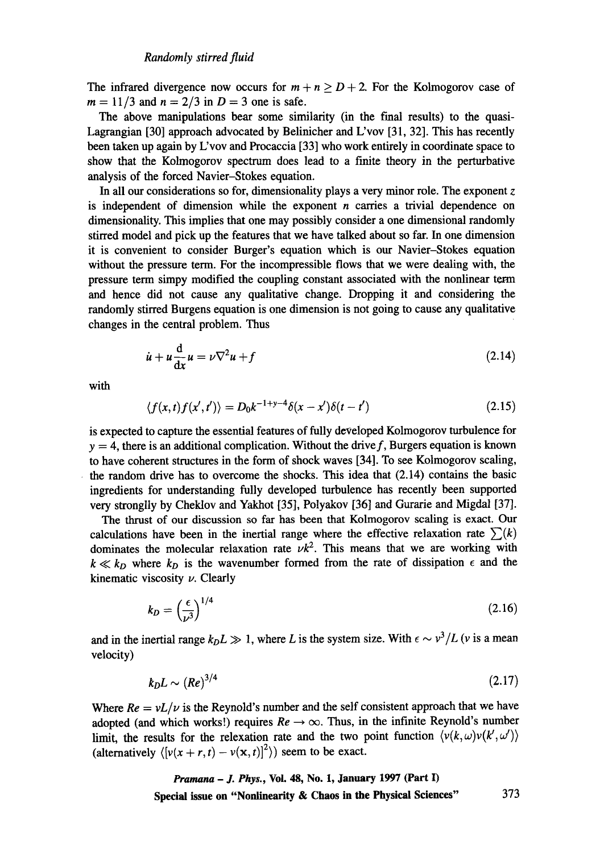The infrared divergence now occurs for  $m + n > D + 2$ . For the Kolmogorov case of  $m = 11/3$  and  $n = 2/3$  in  $D = 3$  one is safe.

The above manipulations bear some similarity (in the final results) to the quasi-Lagrangian [30] approach advocated by Belinicher and L'vov [31, 32]. This has recently been taken up again by L'vov and Procaccia [33] who work entirely in coordinate space to show that the Kolmogorov spectrum does lead to a finite theory in the perturbative analysis of the forced Navier-Stokes equation.

In all our considerations so for, dimensionality plays a very minor role. The exponent  $z$ is independent of dimension while the exponent  $n$  carries a trivial dependence on dimensionality. This implies that one may possibly consider a one dimensional randomly stirred model and pick up the features that we have talked about so far. In one dimension it is convenient to consider Burger's equation which is our Navier-Stokes equation without the pressure tenn. For the incompressible flows that we were dealing with, the pressure term simpy modified the coupling constant associated with the nonlinear term and hence did not cause any qualitative change. Dropping it and considering the randomly stirred Burgens equation is one dimension is not going to cause any qualitative changes in the central problem. Thus

$$
\dot{u} + u \frac{d}{dx} u = \nu \nabla^2 u + f \tag{2.14}
$$

with

$$
\langle f(x,t)f(x',t')\rangle = D_0k^{-1+\nu-4}\delta(x-x')\delta(t-t')
$$
\n(2.15)

is expected to capture the essential features of fully developed Kolmogorov turbulence for  $y = 4$ , there is an additional complication. Without the drive f, Burgers equation is known to have coherent structures in the form of shock waves [34]. To see Kolmogorov scaling, the random drive has to overcome the shocks. This idea that (2.14) contains the basic ingredients for understanding fully developed turbulence has recently been supported very stronglly by Cheklov and Yakhot [35], Polyakov [36] and Gurarie and Migdal [37].

The thrust of our discussion so far has been that Kolmogorov scaling is exact. Our calculations have been in the inertial range where the effective relaxation rate  $\sum(k)$ dominates the molecular relaxation rate  $\nu k^2$ . This means that we are working with  $k \ll k_D$  where  $k_D$  is the wavenumber formed from the rate of dissipation  $\epsilon$  and the kinematic viscosity  $\nu$ . Clearly

$$
k_D = \left(\frac{\epsilon}{\nu^3}\right)^{1/4} \tag{2.16}
$$

and in the inertial range  $k_D L \gg 1$ , where L is the system size. With  $\epsilon \sim v^3/L$  (v is a mean velocity)

$$
k_D L \sim (Re)^{3/4} \tag{2.17}
$$

Where  $Re = vL/v$  is the Reynold's number and the self consistent approach that we have adopted (and which works!) requires  $Re \rightarrow \infty$ . Thus, in the infinite Reynold's number limit, the results for the relexation rate and the two point function  $\langle v(k,\omega)v(k',\omega')\rangle$ (alternatively  $\langle [v(x + r, t) - v(x, t)]^2 \rangle$ ) seem to be exact.

*Pramana - J. Phys.,* **Vol. 48, No. 1, January 1997 (Part I) Special issue on "Nonlinearity & Chaos in the Physical Sciences" 373**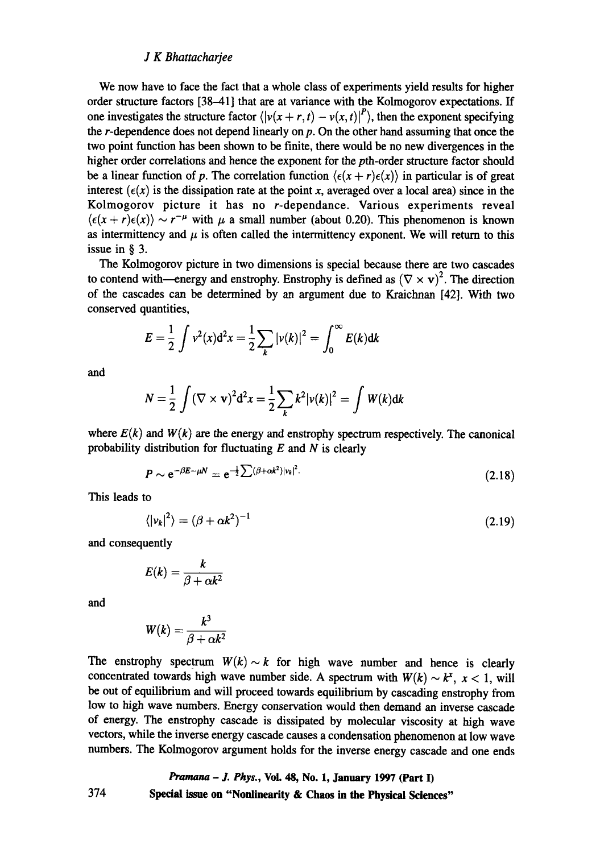We now have to face the fact that a whole class of experiments yield results for higher order structure factors [38-41] that are at variance with the Kolmogorov expectations. If one investigates the structure factor  $\left\langle v(x+r,t) - v(x,t) \right\rangle^P$ , then the exponent specifying the r-dependence does not depend linearly on  $p$ . On the other hand assuming that once the two point function has been shown to be finite, there would be no new divergences in the higher order correlations and hence the exponent for the pth-order structure factor should be a linear function of p. The correlation function  $\langle \epsilon(x+r)\epsilon(x) \rangle$  in particular is of great interest  $(\epsilon(x)$  is the dissipation rate at the point x, averaged over a local area) since in the Kolmogorov picture it has no r-dependance. Various experiments reveal  $\langle \epsilon(x+r)\epsilon(x)\rangle \sim r^{-\mu}$  with  $\mu$  a small number (about 0.20). This phenomenon is known as intermittency and  $\mu$  is often called the intermittency exponent. We will return to this issue in § 3.

The Kolmogorov picture in two dimensions is special because there are two cascades to contend with—energy and enstrophy. Enstrophy is defined as  $(\nabla \times \mathbf{v})^2$ . The direction of the cascades can be determined by an argument due to Kraichnan [42]. With two conserved quantities,

$$
E = \frac{1}{2} \int v^2(x) d^2x = \frac{1}{2} \sum_{k} |v(k)|^2 = \int_0^\infty E(k) dk
$$

and

$$
N = \frac{1}{2} \int (\nabla \times \mathbf{v})^2 d^2 x = \frac{1}{2} \sum_{k} k^2 |v(k)|^2 = \int W(k) dk
$$

where  $E(k)$  and  $W(k)$  are the energy and enstrophy spectrum respectively. The canonical probability distribution for fluctuating  $E$  and  $N$  is clearly

$$
P \sim e^{-\beta E - \mu N} = e^{-\frac{1}{2} \sum (\beta + \alpha k^2) |v_k|^2}.
$$
 (2.18)

This leads to

$$
\langle |\nu_k|^2 \rangle = (\beta + \alpha k^2)^{-1} \tag{2.19}
$$

and consequently

$$
E(k) = \frac{k}{\beta + \alpha k^2}
$$

and

$$
W(k) = \frac{k^3}{\beta + \alpha k^2}
$$

The enstrophy spectrum  $W(k) \sim k$  for high wave number and hence is clearly concentrated towards high wave number side. A spectrum with  $W(k) \sim k^x$ ,  $x < 1$ , will be out of equilibrium and will proceed towards equilibrium by cascading enstrophy from low to high wave numbers. Energy conservation would then demand an inverse cascade of energy. The enstrophy cascade is dissipated by molecular viscosity at high wave vectors, while the inverse energy cascade causes a condensation phenomenon at low wave numbers. The Kolmogorov argument holds for the inverse energy cascade and one ends

# *Pramana - J. Phys.,* **Vol. 48, No. 1, January 1997 (Part I) Special issue on "Nonlinearity & Chaos in the Physical Sciences"**

374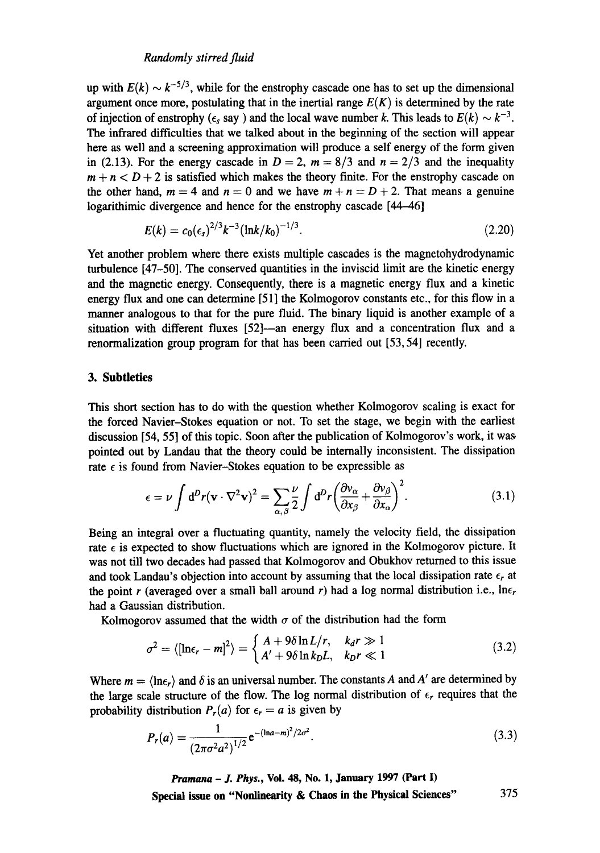## *Randomly stirred fluid*

up with  $E(k) \sim k^{-5/3}$ , while for the enstrophy cascade one has to set up the dimensional argument once more, postulating that in the inertial range  $E(K)$  is determined by the rate of injection of enstrophy ( $\epsilon_s$  say) and the local wave number k. This leads to  $E(k) \sim k^{-3}$ . The infrared difficulties that we talked about in the beginning of the section will appear here as well and a screening approximation will produce a self energy of the form given in (2.13). For the energy cascade in  $D = 2$ ,  $m = 8/3$  and  $n = 2/3$  and the inequality  $m + n < D + 2$  is satisfied which makes the theory finite. For the enstrophy cascade on the other hand,  $m = 4$  and  $n = 0$  and we have  $m + n = D + 2$ . That means a genuine logarithimic divergence and hence for the enstrophy cascade [44–46]

$$
E(k) = c_0(\epsilon_s)^{2/3} k^{-3} (\ln k / k_0)^{-1/3}.
$$
 (2.20)

Yet another problem where there exists multiple cascades is the magnetohydrodynamic turbulence [47-50]. The conserved quantities in the inviscid limit are the kinetic energy and the magnetic energy. Consequently, there is a magnetic energy flux and a kinetic energy flux and one can determine [51] the Kolmogorov constants etc., for this flow in a manner analogous to that for the pure fluid. The binary liquid is another example of a situation with different fluxes  $[52]$ —an energy flux and a concentration flux and a renormalization group program for that has been carried out [53,541 recently.

#### 3. **Subtleties**

This short section has to do with the question whether Kolmogorov scaling is exact for the forced Navier-Stokes equation or not. To set the stage, we begin with the earliest discussion [54, 55] of this topic. Soon after the publication of Kolmogorov's work, it was pointed out by Landau that the theory could be internally inconsistent. The dissipation rate  $\epsilon$  is found from Navier-Stokes equation to be expressible as

$$
\epsilon = \nu \int d^D r (\mathbf{v} \cdot \nabla^2 \mathbf{v})^2 = \sum_{\alpha, \beta} \frac{\nu}{2} \int d^D r \left( \frac{\partial v_\alpha}{\partial x_\beta} + \frac{\partial v_\beta}{\partial x_\alpha} \right)^2.
$$
 (3.1)

Being an integral over a fluctuating quantity, namely the velocity field, the dissipation rate  $\epsilon$  is expected to show fluctuations which are ignored in the Kolmogorov picture. It was not till two decades had passed that Kolmogorov and Obukhov returned to this issue and took Landau's objection into account by assuming that the local dissipation rate  $\epsilon_r$  at the point r (averaged over a small ball around r) had a log normal distribution i.e.,  $\ln \epsilon_r$ had a Gaussian distribution.

Kolmogorov assumed that the width  $\sigma$  of the distribution had the form

$$
\sigma^2 = \langle [\ln \epsilon_r - m]^2 \rangle = \begin{cases} A + 9\delta \ln L/r, & k_d r \gg 1 \\ A' + 9\delta \ln k_D L, & k_{D} r \ll 1 \end{cases}
$$
(3.2)

Where  $m = \langle \ln \epsilon_r \rangle$  and  $\delta$  is an universal number. The constants A and A' are determined by the large scale structure of the flow. The log normal distribution of  $\epsilon_r$  requires that the probability distribution  $P_r(a)$  for  $\epsilon_r = a$  is given by

$$
P_r(a) = \frac{1}{(2\pi\sigma^2 a^2)^{1/2}} e^{-(\ln a - m)^2/2\sigma^2}.
$$
\n(3.3)

*Pramana - J. Phys.,* **Voi. 48, No. 1, January 1997 (Part I)**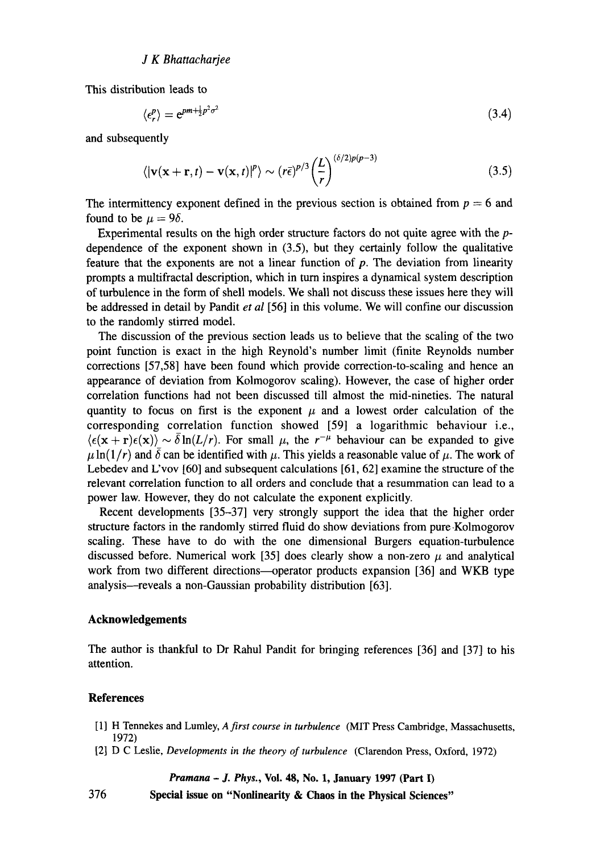This distribution leads to

$$
\langle \epsilon_r^p \rangle = e^{pm + \frac{1}{2}p^2 \sigma^2} \tag{3.4}
$$

and subsequently

$$
\langle |\mathbf{v}(\mathbf{x}+\mathbf{r},t)-\mathbf{v}(\mathbf{x},t)|^p \rangle \sim (r\bar{\epsilon})^{p/3} \left(\frac{L}{r}\right)^{(\delta/2)p(p-3)}
$$
(3.5)

The intermittency exponent defined in the previous section is obtained from  $p = 6$  and found to be  $\mu = 9\delta$ .

Experimental results on the high order structure factors do not quite agree with the pdependence of the exponent shown in (3.5), but they certainly follow the qualitative feature that the exponents are not a linear function of p. The deviation from linearity prompts a multifractal description, which in turn inspires a dynamical system description of turbulence in the form of shell models. We shall not discuss these issues here they will be addressed in detail by Pandit *et al* [56] in this volume. We will confine our discussion to the randomly stirred model.

The discussion of the previous section leads us to believe that the scaling of the two point function is exact in the high Reynold's number limit (finite Reynolds number corrections [57,58] have been found which provide correction-to-scaling and hence an appearance of deviation from Kolmogorov scaling). However, the case of higher order correlation functions had not been discussed till almost the mid-nineties. The natural quantity to focus on first is the exponent  $\mu$  and a lowest order calculation of the corresponding correlation function showed [59] a logarithmic behaviour i.e.,  $\langle \epsilon(\mathbf{x} + \mathbf{r}) \epsilon(\mathbf{x}) \rangle \sim \bar{\delta} \ln(L/r)$ . For small  $\mu$ , the  $r^{-\mu}$  behaviour can be expanded to give  $\mu$  ln(1/r) and  $\bar{\delta}$  can be identified with  $\mu$ . This yields a reasonable value of  $\mu$ . The work of Lebedev and L'vov [60] and subsequent calculations [61, 62] examine the structure of the relevant correlation function to all orders and conclude that a resummation can lead to a power law. However, they do not calculate the exponent explicitly.

Recent developments [35-37] very strongly support the idea that the higher order structure factors in the randomly stirred fluid do show deviations from pure Kolmogorov scaling. These have to do with the one dimensional Burgers equation-turbulence discussed before. Numerical work [35] does clearly show a non-zero  $\mu$  and analytical work from two different directions—operator products expansion [36] and WKB type analysis--reveals a non-Gaussian probability distribution [63].

#### **Acknowledgements**

The author is thankful to Dr Rahul Pandit for bringing references [36] and [37] to his attention.

## **References**

- [1] H Tennekes and Lumley, *A first course in turbulence* (MIT Press Cambridge, Massachusetts, 1972)
- [2] D C Leslie, *Developments in the theory of turbulence* (Clarendon Press, Oxford, 1972)

*Pramana - J. Phys.,* **Vol. 48, No. 1, January 1997 (Part I)**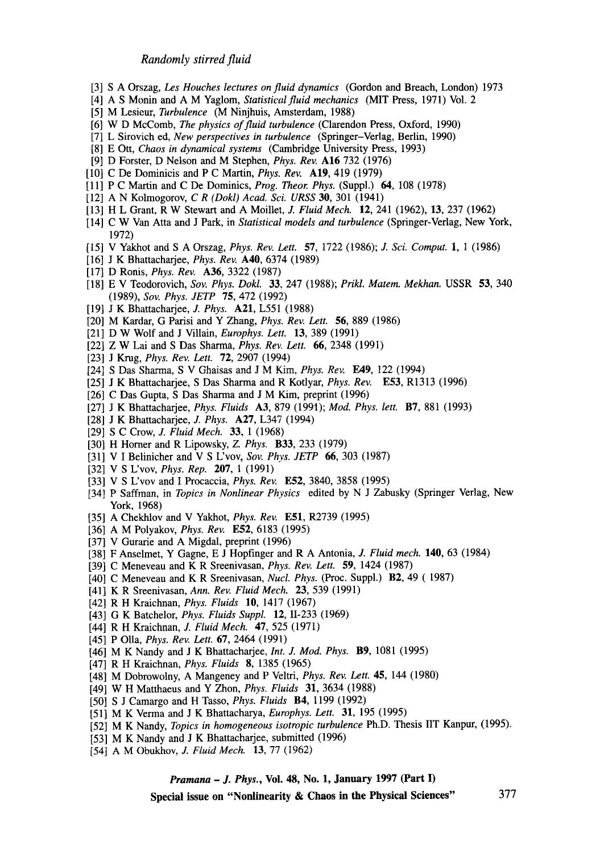- [3] S A Orszag, *Les Houches lectures on fluid dynamics* (Gordon and Breach, London) 1973
- [4] A S Monin and A M Yaglom, *Statistical fluid mechanics* (MIT Press, 1971) Vol. 2
- [5] M Lesieur, *Turbulence* (M Ninjhuis, Amsterdam, 1988)
- [6] W D McComb, *The physics offluid turbulence* (Clarendon Press, Oxford, 1990)
- [7] L Sirovich ed, *New perspectives in turbulence* (Springer-Verlag, Berlin, 1990)
- [8] E Ott, *Chaos in dynamical systems* (Cambridge University Press, 1993)
- [9] D Forster, D Nelson and M Stephen, *Phys. Rev.* A16 732 (1976)
- [10] C De Dominicis and P C Martin, *Phys. Rev.* A19, 419 (1979)
- [11] P C Martin and C De Dominics, *Prog. Theor. Phys.* (Suppl.) 64, 108 (1978)
- [12] A N Kolmogorov, *C R (Dokl) Acad. Sci. URSS* 30, 301 (1941)
- [13] H L Grant, R W Stewart and A Moillet, J. *Fluid Mech.* 12, 241 (1962), 13, 237 (1962)
- [14] C W Van Atta and J Park, in *Statistical models and turbulence* (Springer-Verlag, New York, 1972)
- [15] V Yakhot and S A Orszag, *Phys. Rev. Lett.* **57,** 1722 (1986); Z *Sci. Comput.* 1, 1 (1986)
- [16] J K Bhattacharjee, *Phys. Rev.* A40, 6374 (1989)
- [17] D Ronis, *Phys. Rev.* A36, 3322 (1987)
- [18] E V Teodorovich, *Sov. Phys. Dokl.* 33., 247 (1988); *Prikl. Matem. Mekhan.* USSR **53,** 340 (1989), *Sov. Phys. JETP* **75,** 472 (1992)
- [19] J K Bhattacharjee, J. *Phys.* A21, L551 (1988)
- [20] M Kardar, G Parisi and Y Zhang, *Phys. Rev. Lett.* 56, 889 (1986)
- [21] D W Wolf and J Villain, *Europhys. Lett.* 13, 389 (1991)
- [22] Z W Lai and S Das Sharma, *Phys. Rev. Lett.* 66, 2348 (1991)
- [23] J Krug, *Phys. Rev. Lett.* 72, 2907 (1994)
- [24] S Das Sharma, S V Ghaisas and J M Kim, *Phys. Rev.* FA9, 122 (1994)
- [25] J K Bhattacharjee, S Das Sharma and R Kotlyar, *Phys. Rev.* E53, R1313 (1996)
- [26] C Das Gupta, S Das Sharma and J M Kim, preprint (1996)
- [27] J K Bhattacharjee, *Phys. Fluids* A3, 8'79 (1991); *Mod. Phys. lett.* B7, 881 (1993)
- [28] J K Bhattacharjee, *J. Phys.* A27, L347 (1994)
- [29] S C Crow, J. *Fluid Mech.* 33, 1 (1968)
- [30] H Homer and R Lipowsky, Z. *Phys.* B33, 233 (1979)
- [31] V I Belinicher and V S L'vov, *Sov. Phys. JETP* **66,** 303 (1987)
- [32] V S L'vov, *Phys. Rep.* 207, 1 (1991)
- [33] V S L'vov and I Procaccia, *Phys. Rev.* E52, 3840, 3858 (1995)
- [34] P Saffman, in *Topics in Nonlinear Physics* edited by N J Zabusky (Springer Verlag, New York, 1968)
- [35] A Chekhlov and V Yakhot, *Phys. Rev.* E51, R2739 (1995)
- [36] A M Polyakov, *Phys. Rev.* E52, 6183 (1995)
- [37] V Gurarie and A Migdal, preprint (1996)
- [38] F Anselmet, Y Gagne, E J Hopfinger and R A Antonia, J. *Fluid mech.* 140, 63 (1984)
- [39] C Meneveau and K R Sreenivasan, *Phys. Rev. Lett.* 59, 1424 (1987)
- [40] C Meneveau and K R Sreenivasan, *Nucl. Phys.* (Proc. Suppl.) B2, 49 (1987)
- [41] K R Sreenivasan, *Ann. Rev. Fluid Mech.* 23, 539 (1991)
- [42] R H Kraichnan, *Phys. Fluids* 10, 1417 (1967)
- [43] G K Batchelor, *Phys. Fluids Suppl.* 12, 11-233 (1969)
- [44] R H Kraichnan, J. *Fluid Mech.* 47, 525 (1971)
- [45] P Olla, *Phys. Rev. Lett.* 67, 2464 (199l)
- [46] M K Nandy and J K Bhattacharjee, *Int. J. Mod. Phys.* B9, 1081 (1995)
- [47] R H Kraichnan, *Phys. Fluids* 8, 1385 (1965)
- [48] M Dobrowolny, A Mangeney and P Veltri, *Phys. Rev. Lett.* 45, 144 (1980)
- [49] W H Matthaeus and Y Zhon, *Phys. Fluids* 31, 3634 (1988)
- [50] S J Camargo and H Tasso, *Phys. Fluids* B4, 1199 (1992)
- [51] M K Verma and J K Bhattacharya, *Europhys. Lett.* 31, 195 (1995)
- [52] M K Nandy, *Topics in homogeneous isotropic turbulence* Ph.D. Thesis liT Kanpur, (1995).
- [53] M K Nandy and J K Bhattacharjee, submitted (1996)
- [54] A M Obukhov, J. *Fluid Mech.* 13, 77 (1962)

## *Pramana - J. Phys.,* **Vol. 48, No. 1, January 1997 (Part I)**